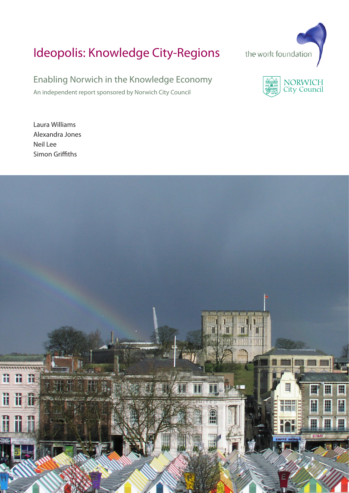# Ideopolis: Knowledge City-Regions



An independent report sponsored by Norwich City Council





Laura Williams Alexandra Jones Neil Lee Simon Griffiths

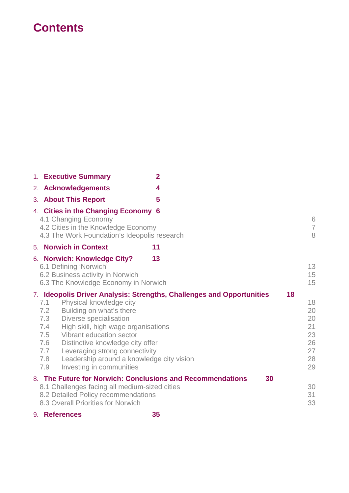## **Contents**

| 1. Executive Summary                                                                                                                                                                                                                                                                                                                                           | $\overline{2}$                                                              |                                                    |
|----------------------------------------------------------------------------------------------------------------------------------------------------------------------------------------------------------------------------------------------------------------------------------------------------------------------------------------------------------------|-----------------------------------------------------------------------------|----------------------------------------------------|
| 2. Acknowledgements                                                                                                                                                                                                                                                                                                                                            | 4                                                                           |                                                    |
| 3. About This Report                                                                                                                                                                                                                                                                                                                                           | 5                                                                           |                                                    |
| 4. Cities in the Changing Economy 6<br>4.1 Changing Economy<br>4.2 Cities in the Knowledge Economy<br>4.3 The Work Foundation's Ideopolis research                                                                                                                                                                                                             |                                                                             | 6<br>$\overline{7}$<br>8                           |
| 5. Norwich in Context                                                                                                                                                                                                                                                                                                                                          | 11                                                                          |                                                    |
| 6. Norwich: Knowledge City?<br>6.1 Defining 'Norwich'<br>6.2 Business activity in Norwich<br>6.3 The Knowledge Economy in Norwich                                                                                                                                                                                                                              | 13                                                                          | 13<br>15<br>15                                     |
| Physical knowledge city<br>7.1<br>Building on what's there<br>7.2<br>7.3<br>Diverse specialisation<br>7.4<br>High skill, high wage organisations<br>7.5<br>Vibrant education sector<br>Distinctive knowledge city offer<br>7.6<br>7.7<br>Leveraging strong connectivity<br>7.8<br>Leadership around a knowledge city vision<br>7.9<br>Investing in communities | 18<br>7. Ideopolis Driver Analysis: Strengths, Challenges and Opportunities | 18<br>20<br>20<br>21<br>23<br>26<br>27<br>28<br>29 |
| 8. The Future for Norwich: Conclusions and Recommendations<br>8.1 Challenges facing all medium-sized cities<br>8.2 Detailed Policy recommendations<br>8.3 Overall Priorities for Norwich                                                                                                                                                                       | 30                                                                          | 30<br>31<br>33                                     |

9. **References 35**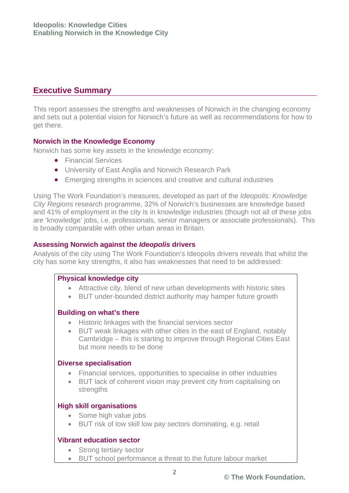## **Executive Summary**

This report assesses the strengths and weaknesses of Norwich in the changing economy and sets out a potential vision for Norwich's future as well as recommendations for how to get there.

#### **Norwich in the Knowledge Economy**

Norwich has some key assets in the knowledge economy:

- Financial Services
- University of East Anglia and Norwich Research Park
- Emerging strengths in sciences and creative and cultural industries

Using The Work Foundation's measures, developed as part of the *Ideopolis: Knowledge City Regions* research programme, 32% of Norwich's businesses are knowledge based and 41% of employment in the city is in knowledge industries (though not all of these jobs are 'knowledge' jobs, i.e. professionals, senior managers or associate professionals). This is broadly comparable with other urban areas in Britain.

#### **Assessing Norwich against the** *Ideopolis* **drivers**

Analysis of the city using The Work Foundation's Ideopolis drivers reveals that whilst the city has some key strengths, it also has weaknesses that need to be addressed:

#### **Physical knowledge city**

- Attractive city, blend of new urban developments with historic sites
- BUT under-bounded district authority may hamper future growth

#### **Building on what's there**

- Historic linkages with the financial services sector
- BUT weak linkages with other cities in the east of England, notably Cambridge – this is starting to improve through Regional Cities East but more needs to be done

#### **Diverse specialisation**

- Financial services, opportunities to specialise in other industries
- BUT lack of coherent vision may prevent city from capitalising on strengths

#### **High skill organisations**

- Some high value jobs
- BUT risk of low skill low pay sectors dominating, e.g. retail

#### **Vibrant education sector**

- Strong tertiary sector
- BUT school performance a threat to the future labour market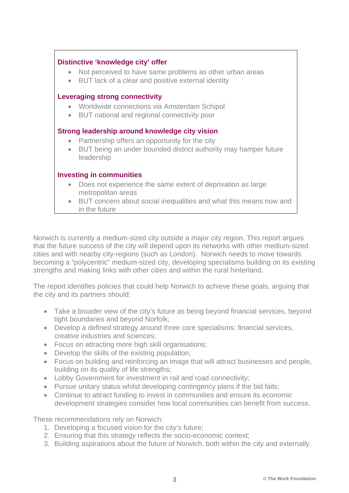#### **Distinctive 'knowledge city' offer**

- Not perceived to have same problems as other urban areas
- BUT lack of a clear and positive external identity

#### **Leveraging strong connectivity**

- Worldwide connections via Amsterdam Schipol
- BUT national and regional connectivity poor

#### **Strong leadership around knowledge city vision**

- Partnership offers an opportunity for the city
- BUT being an under bounded district authority may hamper future leadership

#### **Investing in communities**

- Does not experience the same extent of deprivation as large metropolitan areas
- BUT concern about social inequalities and what this means now and in the future

Norwich is currently a medium-sized city outside a major city region. This report argues that the future success of the city will depend upon its networks with other medium-sized cities and with nearby city-regions (such as London). Norwich needs to move towards becoming a "polycentric" medium-sized city, developing specialisms building on its existing strengths and making links with other cities and within the rural hinterland.

The report identifies policies that could help Norwich to achieve these goals, arguing that the city and its partners should:

- Take a broader view of the city's future as being beyond financial services, beyond tight boundaries and beyond Norfolk;
- Develop a defined strategy around three core specialisms: financial services, creative industries and sciences;
- Focus on attracting more high skill organisations;
- Develop the skills of the existing population;
- Focus on building and reinforcing an image that will attract businesses and people, building on its quality of life strengths;
- Lobby Government for investment in rail and road connectivity;
- Pursue unitary status whilst developing contingency plans if the bid fails;
- Continue to attract funding to invest in communities and ensure its economic development strategies consider how local communities can benefit from success.

These recommendations rely on Norwich:

- 1. Developing a focused vision for the city's future;
- 2. Ensuring that this strategy reflects the socio-economic context;
- 3. Building aspirations about the future of Norwich, both within the city and externally.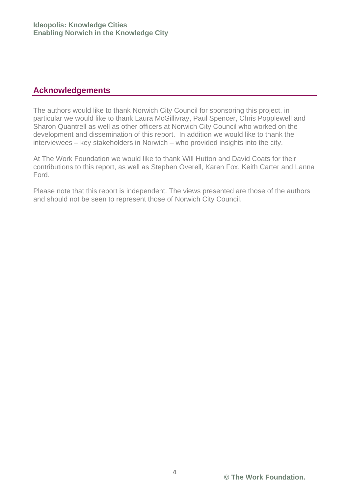## **Acknowledgements**

The authors would like to thank Norwich City Council for sponsoring this project, in particular we would like to thank Laura McGillivray, Paul Spencer, Chris Popplewell and Sharon Quantrell as well as other officers at Norwich City Council who worked on the development and dissemination of this report. In addition we would like to thank the interviewees – key stakeholders in Norwich – who provided insights into the city.

At The Work Foundation we would like to thank Will Hutton and David Coats for their contributions to this report, as well as Stephen Overell, Karen Fox, Keith Carter and Lanna Ford.

Please note that this report is independent. The views presented are those of the authors and should not be seen to represent those of Norwich City Council.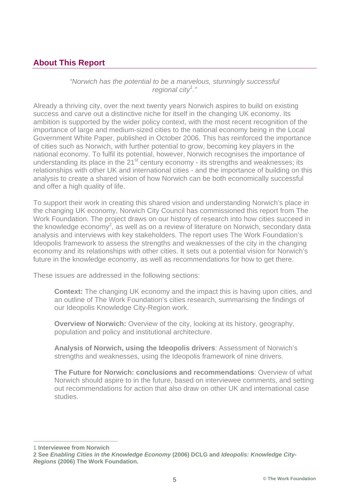## **About This Report**

#### *"Norwich has the potential to be a marvelous, stunningly successful regional city<sup>1</sup> ."*

Already a thriving city, over the next twenty years Norwich aspires to build on existing success and carve out a distinctive niche for itself in the changing UK economy. Its ambition is supported by the wider policy context, with the most recent recognition of the importance of large and medium-sized cities to the national economy being in the Local Government White Paper, published in October 2006. This has reinforced the importance of cities such as Norwich, with further potential to grow, becoming key players in the national economy. To fulfil its potential, however, Norwich recognises the importance of understanding its place in the  $21<sup>st</sup>$  century economy - its strengths and weaknesses; its relationships with other UK and international cities - and the importance of building on this analysis to create a shared vision of how Norwich can be both economically successful and offer a high quality of life.

To support their work in creating this shared vision and understanding Norwich's place in the changing UK economy, Norwich City Council has commissioned this report from The Work Foundation. The project draws on our history of research into how cities succeed in the knowledge economy<sup>2</sup>, as well as on a review of literature on Norwich, secondary data analysis and interviews with key stakeholders. The report uses The Work Foundation's Ideopolis framework to assess the strengths and weaknesses of the city in the changing economy and its relationships with other cities. It sets out a potential vision for Norwich's future in the knowledge economy, as well as recommendations for how to get there.

These issues are addressed in the following sections:

**Context:** The changing UK economy and the impact this is having upon cities, and an outline of The Work Foundation's cities research, summarising the findings of our Ideopolis Knowledge City-Region work.

**Overview of Norwich:** Overview of the city, looking at its history, geography, population and policy and institutional architecture.

**Analysis of Norwich, using the Ideopolis drivers**: Assessment of Norwich's strengths and weaknesses, using the Ideopolis framework of nine drivers.

**The Future for Norwich: conclusions and recommendations**: Overview of what Norwich should aspire to in the future, based on interviewee comments, and setting out recommendations for action that also draw on other UK and international case studies.

1 **Interviewee from Norwich** 

**<sup>2</sup> See** *Enabling Cities in the Knowledge Economy* **(2006) DCLG and** *Ideopolis: Knowledge City-Regions* **(2006) The Work Foundation.**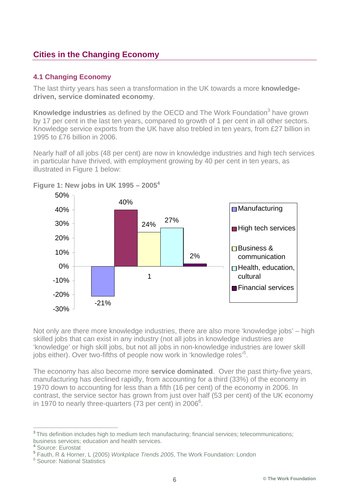## **Cities in the Changing Economy**

#### **4.1 Changing Economy**

The last thirty years has seen a transformation in the UK towards a more **knowledgedriven, service dominated economy**.

Knowledge industries as defined by the OECD and The Work Foundation<sup>3</sup> have grown by 17 per cent in the last ten years, compared to growth of 1 per cent in all other sectors. Knowledge service exports from the UK have also trebled in ten years, from £27 billion in 1995 to £76 billion in 2006.

Nearly half of all jobs (48 per cent) are now in knowledge industries and high tech services in particular have thrived, with employment growing by 40 per cent in ten years, as illustrated in Figure 1 below:



**Figure 1: New jobs in UK 1995 – 20054**

Not only are there more knowledge industries, there are also more 'knowledge jobs' – high skilled jobs that can exist in any industry (not all jobs in knowledge industries are 'knowledge' or high skill jobs, but not all jobs in non-knowledge industries are lower skill jobs either). Over two-fifths of people now work in 'knowledge roles'<sup>5</sup>.

The economy has also become more **service dominated**. Over the past thirty-five years, manufacturing has declined rapidly, from accounting for a third (33%) of the economy in 1970 down to accounting for less than a fifth (16 per cent) of the economy in 2006. In contrast, the service sector has grown from just over half (53 per cent) of the UK economy in 1970 to nearly three-quarters  $(73 \text{ per cent})$  in 2006<sup>6</sup>.

**<sup>3</sup>**This definition includes high to medium tech manufacturing; financial services; telecommunications; business services; education and health services. **<sup>4</sup>** Source: Eurostat

**<sup>5</sup>** Fauth, R & Horner, L (2005) *Workplace Trends 2005*, The Work Foundation: London

<sup>&</sup>lt;sup>6</sup> Source: National Statistics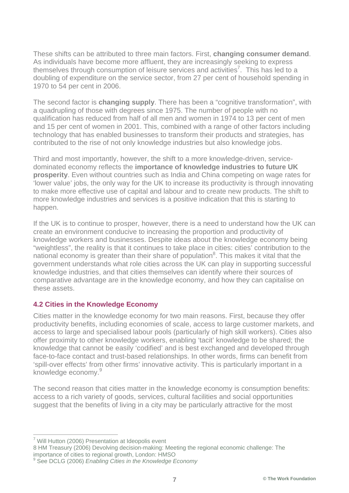These shifts can be attributed to three main factors. First, **changing consumer demand**. As individuals have become more affluent, they are increasingly seeking to express themselves through consumption of leisure services and activities<sup>7</sup>. This has led to a doubling of expenditure on the service sector, from 27 per cent of household spending in 1970 to 54 per cent in 2006.

The second factor is **changing supply**. There has been a "cognitive transformation", with a quadrupling of those with degrees since 1975. The number of people with no qualification has reduced from half of all men and women in 1974 to 13 per cent of men and 15 per cent of women in 2001. This, combined with a range of other factors including technology that has enabled businesses to transform their products and strategies, has contributed to the rise of not only knowledge industries but also knowledge jobs.

Third and most importantly, however, the shift to a more knowledge-driven, servicedominated economy reflects the **importance of knowledge industries to future UK prosperity**. Even without countries such as India and China competing on wage rates for 'lower value' jobs, the only way for the UK to increase its productivity is through innovating to make more effective use of capital and labour and to create new products. The shift to more knowledge industries and services is a positive indication that this is starting to happen.

If the UK is to continue to prosper, however, there is a need to understand how the UK can create an environment conducive to increasing the proportion and productivity of knowledge workers and businesses. Despite ideas about the knowledge economy being "weightless", the reality is that it continues to take place in cities: cities' contribution to the national economy is greater than their share of population<sup>8</sup>. This makes it vital that the government understands what role cities across the UK can play in supporting successful knowledge industries, and that cities themselves can identify where their sources of comparative advantage are in the knowledge economy, and how they can capitalise on these assets.

#### **4.2 Cities in the Knowledge Economy**

Cities matter in the knowledge economy for two main reasons. First, because they offer productivity benefits, including economies of scale, access to large customer markets, and access to large and specialised labour pools (particularly of high skill workers). Cities also offer proximity to other knowledge workers, enabling 'tacit' knowledge to be shared; the knowledge that cannot be easily 'codified' and is best exchanged and developed through face-to-face contact and trust-based relationships. In other words, firms can benefit from 'spill-over effects' from other firms' innovative activity. This is particularly important in a knowledge economy.<sup>9</sup>

The second reason that cities matter in the knowledge economy is consumption benefits: access to a rich variety of goods, services, cultural facilities and social opportunities suggest that the benefits of living in a city may be particularly attractive for the most

 <sup>7</sup> Will Hutton (2006) Presentation at Ideopolis event

<sup>8</sup> HM Treasury (2006) Devolving decision-making: Meeting the regional economic challenge: The importance of cities to regional growth, London: HMSO

<sup>9</sup> See DCLG (2006) *Enabling Cities in the Knowledge Economy*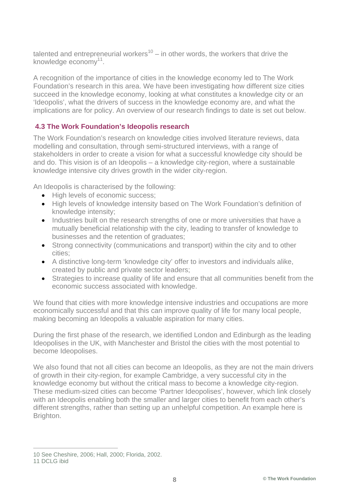talented and entrepreneurial workers<sup>10</sup> – in other words, the workers that drive the knowledge economy $11$ .

A recognition of the importance of cities in the knowledge economy led to The Work Foundation's research in this area. We have been investigating how different size cities succeed in the knowledge economy, looking at what constitutes a knowledge city or an 'Ideopolis', what the drivers of success in the knowledge economy are, and what the implications are for policy. An overview of our research findings to date is set out below.

#### **4.3 The Work Foundation's Ideopolis research**

The Work Foundation's research on knowledge cities involved literature reviews, data modelling and consultation, through semi-structured interviews, with a range of stakeholders in order to create a vision for what a successful knowledge city should be and do. This vision is of an Ideopolis – a knowledge city-region, where a sustainable knowledge intensive city drives growth in the wider city-region.

An Ideopolis is characterised by the following:

- High levels of economic success;
- High levels of knowledge intensity based on The Work Foundation's definition of knowledge intensity;
- Industries built on the research strengths of one or more universities that have a mutually beneficial relationship with the city, leading to transfer of knowledge to businesses and the retention of graduates;
- Strong connectivity (communications and transport) within the city and to other cities;
- A distinctive long-term 'knowledge city' offer to investors and individuals alike, created by public and private sector leaders;
- Strategies to increase quality of life and ensure that all communities benefit from the economic success associated with knowledge.

We found that cities with more knowledge intensive industries and occupations are more economically successful and that this can improve quality of life for many local people, making becoming an Ideopolis a valuable aspiration for many cities.

During the first phase of the research, we identified London and Edinburgh as the leading Ideopolises in the UK, with Manchester and Bristol the cities with the most potential to become Ideopolises.

We also found that not all cities can become an Ideopolis, as they are not the main drivers of growth in their city-region, for example Cambridge, a very successful city in the knowledge economy but without the critical mass to become a knowledge city-region. These medium-sized cities can become 'Partner Ideopolises', however, which link closely with an Ideopolis enabling both the smaller and larger cities to benefit from each other's different strengths, rather than setting up an unhelpful competition. An example here is Brighton.

 <sup>10</sup> See Cheshire, 2006; Hall, 2000; Florida, 2002.

<sup>11</sup> DCLG ibid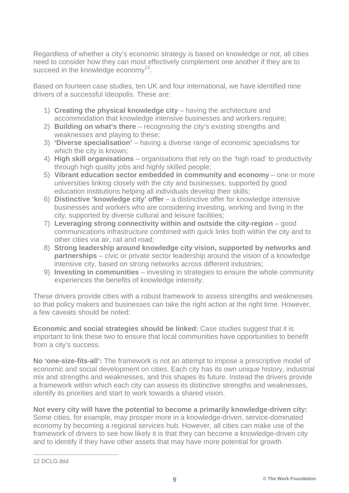Regardless of whether a city's economic strategy is based on knowledge or not, all cities need to consider how they can most effectively complement one another if they are to succeed in the knowledge economy<sup>12</sup>.

Based on fourteen case studies, ten UK and four international, we have identified nine drivers of a successful Ideopolis. These are:

- 1) **Creating the physical knowledge city** having the architecture and accommodation that knowledge intensive businesses and workers require;
- 2) **Building on what's there** recognising the city's existing strengths and weaknesses and playing to these;
- 3) **'Diverse specialisation'** having a diverse range of economic specialisms for which the city is known;
- 4) **High skill organisations** organisations that rely on the 'high road' to productivity through high quality jobs and highly skilled people;
- 5) **Vibrant education sector embedded in community and economy** one or more universities linking closely with the city and businesses, supported by good education institutions helping all individuals develop their skills;
- 6) **Distinctive 'knowledge city' offer** a distinctive offer for knowledge intensive businesses and workers who are considering investing, working and living in the city, supported by diverse cultural and leisure facilities;
- 7) **Leveraging strong connectivity within and outside the city-region** good communications infrastructure combined with quick links both within the city and to other cities via air, rail and road;
- 8) **Strong leadership around knowledge city vision, supported by networks and partnerships** – civic or private sector leadership around the vision of a knowledge intensive city, based on strong networks across different industries;
- 9) **Investing in communities** investing in strategies to ensure the whole community experiences the benefits of knowledge intensity.

These drivers provide cities with a robust framework to assess strengths and weaknesses so that policy makers and businesses can take the right action at the right time. However, a few caveats should be noted:

**Economic and social strategies should be linked:** Case studies suggest that it is important to link these two to ensure that local communities have opportunities to benefit from a city's success.

**No 'one-size-fits-all':** The framework is not an attempt to impose a prescriptive model of economic and social development on cities. Each city has its own unique history, industrial mix and strengths and weaknesses, and this shapes its future. Instead the drivers provide a framework within which each city can assess its distinctive strengths and weaknesses, identify its priorities and start to work towards a shared vision.

**Not every city will have the potential to become a primarily knowledge-driven city:** Some cities, for example, may prosper more in a knowledge-driven, service-dominated economy by becoming a regional services hub. However, all cities can make use of the framework of drivers to see how likely it is that they can become a knowledge-driven city and to identify if they have other assets that may have more potential for growth.

 <sup>12</sup> DCLG ibid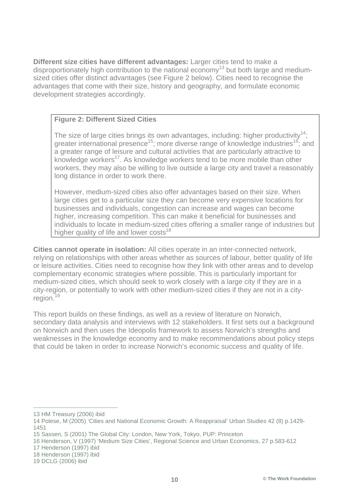**Different size cities have different advantages:** Larger cities tend to make a disproportionately high contribution to the national economy<sup>13</sup> but both large and mediumsized cities offer distinct advantages (see Figure 2 below). Cities need to recognise the advantages that come with their size, history and geography, and formulate economic development strategies accordingly.

#### **Figure 2: Different Sized Cities**

The size of large cities brings its own advantages, including: higher productivity<sup>14</sup>; greater international presence<sup>15</sup>; more diverse range of knowledge industries<sup>16</sup>; and a greater range of leisure and cultural activities that are particularly attractive to knowledge workers<sup>17</sup>. As knowledge workers tend to be more mobile than other workers, they may also be willing to live outside a large city and travel a reasonably long distance in order to work there.

However, medium-sized cities also offer advantages based on their size. When large cities get to a particular size they can become very expensive locations for businesses and individuals, congestion can increase and wages can become higher, increasing competition. This can make it beneficial for businesses and individuals to locate in medium-sized cities offering a smaller range of industries but higher quality of life and lower  $costs<sup>18</sup>$ 

**Cities cannot operate in isolation:** All cities operate in an inter-connected network, relying on relationships with other areas whether as sources of labour, better quality of life or leisure activities. Cities need to recognise how they link with other areas and to develop complementary economic strategies where possible. This is particularly important for medium-sized cities, which should seek to work closely with a large city if they are in a city-region, or potentially to work with other medium-sized cities if they are not in a cityregion.<sup>19</sup>

This report builds on these findings, as well as a review of literature on Norwich, secondary data analysis and interviews with 12 stakeholders. It first sets out a background on Norwich and then uses the Ideopolis framework to assess Norwich's strengths and weaknesses in the knowledge economy and to make recommendations about policy steps that could be taken in order to increase Norwich's economic success and quality of life.

 <sup>13</sup> HM Treasury (2006) ibid

<sup>14</sup> Polese, M (2005) 'Cities and National Economic Growth: A Reappraisal' Urban Studies 42 (8) p.1429- 1451

<sup>15</sup> Sassen, S (2001) The Global City: London, New York, Tokyo, PUP: Princeton

<sup>16</sup> Henderson, V (1997) 'Medium Size Cities', Regional Science and Urban Economics, 27 p.583-612

<sup>17</sup> Henderson (1997) ibid

<sup>18</sup> Henderson (1997) ibid

<sup>19</sup> DCLG (2006) ibid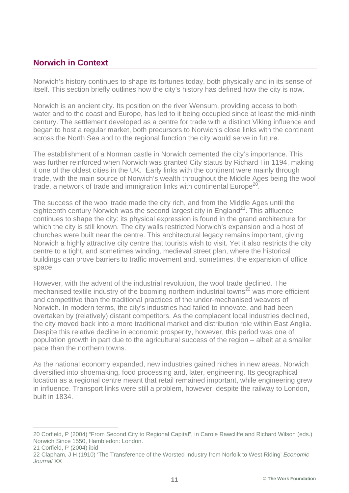### **Norwich in Context**

Norwich's history continues to shape its fortunes today, both physically and in its sense of itself. This section briefly outlines how the city's history has defined how the city is now.

Norwich is an ancient city. Its position on the river Wensum, providing access to both water and to the coast and Europe, has led to it being occupied since at least the mid-ninth century. The settlement developed as a centre for trade with a distinct Viking influence and began to host a regular market, both precursors to Norwich's close links with the continent across the North Sea and to the regional function the city would serve in future.

The establishment of a Norman castle in Norwich cemented the city's importance. This was further reinforced when Norwich was granted City status by Richard I in 1194, making it one of the oldest cities in the UK. Early links with the continent were mainly through trade, with the main source of Norwich's wealth throughout the Middle Ages being the wool trade, a network of trade and immigration links with continental Europe<sup>20</sup>.

The success of the wool trade made the city rich, and from the Middle Ages until the eighteenth century Norwich was the second largest city in England<sup>21</sup>. This affluence continues to shape the city: its physical expression is found in the grand architecture for which the city is still known. The city walls restricted Norwich's expansion and a host of churches were built near the centre. This architectural legacy remains important, giving Norwich a highly attractive city centre that tourists wish to visit. Yet it also restricts the city centre to a tight, and sometimes winding, medieval street plan, where the historical buildings can prove barriers to traffic movement and, sometimes, the expansion of office space.

However, with the advent of the industrial revolution, the wool trade declined. The mechanised textile industry of the booming northern industrial towns<sup>22</sup> was more efficient and competitive than the traditional practices of the under-mechanised weavers of Norwich. In modern terms, the city's industries had failed to innovate, and had been overtaken by (relatively) distant competitors. As the complacent local industries declined, the city moved back into a more traditional market and distribution role within East Anglia. Despite this relative decline in economic prosperity, however, this period was one of population growth in part due to the agricultural success of the region – albeit at a smaller pace than the northern towns.

As the national economy expanded, new industries gained niches in new areas. Norwich diversified into shoemaking, food processing and, later, engineering. Its geographical location as a regional centre meant that retail remained important, while engineering grew in influence. Transport links were still a problem, however, despite the railway to London, built in 1834.

 <sup>20</sup> Corfield, P (2004) "From Second City to Regional Capital", in Carole Rawcliffe and Richard Wilson (eds.) Norwich Since 1550, Hambledon: London.

<sup>21</sup> Corfield, P (2004) ibid

<sup>22</sup> Clapham, J H (1910) 'The Transference of the Worsted Industry from Norfolk to West Riding' *Economic Journal* XX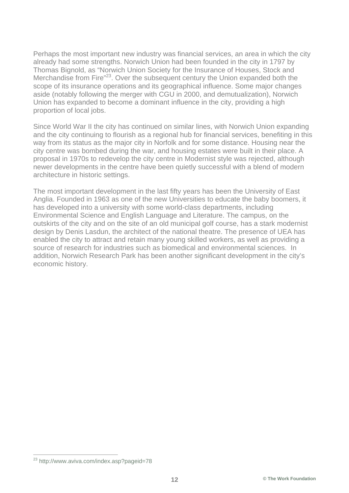Perhaps the most important new industry was financial services, an area in which the city already had some strengths. Norwich Union had been founded in the city in 1797 by Thomas Bignold, as "Norwich Union Society for the Insurance of Houses, Stock and Merchandise from Fire<sup>"23</sup>. Over the subsequent century the Union expanded both the scope of its insurance operations and its geographical influence. Some major changes aside (notably following the merger with CGU in 2000, and demutualization), Norwich Union has expanded to become a dominant influence in the city, providing a high proportion of local jobs.

Since World War II the city has continued on similar lines, with Norwich Union expanding and the city continuing to flourish as a regional hub for financial services, benefiting in this way from its status as the major city in Norfolk and for some distance. Housing near the city centre was bombed during the war, and housing estates were built in their place. A proposal in 1970s to redevelop the city centre in Modernist style was rejected, although newer developments in the centre have been quietly successful with a blend of modern architecture in historic settings.

The most important development in the last fifty years has been the University of East Anglia. Founded in 1963 as one of the new Universities to educate the baby boomers, it has developed into a university with some world-class departments, including Environmental Science and English Language and Literature. The campus, on the outskirts of the city and on the site of an old municipal golf course, has a stark modernist design by Denis Lasdun, the architect of the national theatre. The presence of UEA has enabled the city to attract and retain many young skilled workers, as well as providing a source of research for industries such as biomedical and environmental sciences. In addition, Norwich Research Park has been another significant development in the city's economic history.

 <sup>23</sup> http://www.aviva.com/index.asp?pageid=78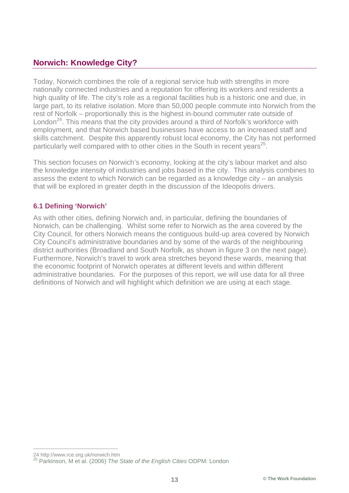## **Norwich: Knowledge City?**

Today, Norwich combines the role of a regional service hub with strengths in more nationally connected industries and a reputation for offering its workers and residents a high quality of life. The city's role as a regional facilities hub is a historic one and due, in large part, to its relative isolation. More than 50,000 people commute into Norwich from the rest of Norfolk – proportionally this is the highest in-bound commuter rate outside of London<sup>24</sup>. This means that the city provides around a third of Norfolk's workforce with employment, and that Norwich based businesses have access to an increased staff and skills catchment. Despite this apparently robust local economy, the City has not performed particularly well compared with to other cities in the South in recent years<sup>25</sup>.

This section focuses on Norwich's economy, looking at the city's labour market and also the knowledge intensity of industries and jobs based in the city. This analysis combines to assess the extent to which Norwich can be regarded as a knowledge city – an analysis that will be explored in greater depth in the discussion of the Ideopolis drivers.

#### **6.1 Defining 'Norwich'**

As with other cities, defining Norwich and, in particular, defining the boundaries of Norwich, can be challenging. Whilst some refer to Norwich as the area covered by the City Council, for others Norwich means the contiguous build-up area covered by Norwich City Council's administrative boundaries and by some of the wards of the neighbouring district authorities (Broadland and South Norfolk, as shown in figure 3 on the next page). Furthermore, Norwich's travel to work area stretches beyond these wards, meaning that the economic footprint of Norwich operates at different levels and within different administrative boundaries. For the purposes of this report, we will use data for all three definitions of Norwich and will highlight which definition we are using at each stage.

 <sup>24</sup> http://www.rce.org.uk/norwich.htm

<sup>25</sup> Parkinson, M et al. (2006) *The State of the English Cities* ODPM: London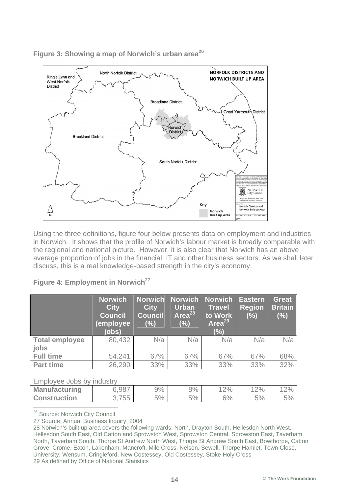

**Figure 3: Showing a map of Norwich's urban area26**

Using the three definitions, figure four below presents data on employment and industries in Norwich. It shows that the profile of Norwich's labour market is broadly comparable with the regional and national picture. However, it is also clear that Norwich has an above average proportion of jobs in the financial, IT and other business sectors. As we shall later discuss, this is a real knowledge-based strength in the city's economy.

|                               | <b>Norwich</b><br><b>City</b><br><b>Council</b><br>(employee<br>jobs) | <b>Norwich</b><br><b>City</b><br><b>Council</b><br>(%) | <b>Norwich</b><br><b>Urban</b><br>Area <sup>28</sup><br>(%) | <b>Norwich</b><br><b>Travel</b><br>to Work<br>Area <sup>29</sup><br>(%) | <b>Eastern</b><br><b>Region</b><br>(%) | <b>Great</b><br><b>Britain</b><br>(%) |  |
|-------------------------------|-----------------------------------------------------------------------|--------------------------------------------------------|-------------------------------------------------------------|-------------------------------------------------------------------------|----------------------------------------|---------------------------------------|--|
| <b>Total employee</b><br>jobs | 80,432                                                                | N/a                                                    | N/a                                                         | N/a                                                                     | N/a                                    | N/a                                   |  |
| <b>Full time</b>              | 54.241                                                                | 67%                                                    | 67%                                                         | 67%                                                                     | 67%                                    | 68%                                   |  |
| <b>Part time</b>              | 26,290                                                                | 33%                                                    | 33%                                                         | 33%                                                                     | 33%                                    | 32%                                   |  |
| Employee Jobs by industry     |                                                                       |                                                        |                                                             |                                                                         |                                        |                                       |  |
| <b>Manufacturing</b>          | 6,987                                                                 | 9%                                                     | 8%                                                          | 12%                                                                     | 12%                                    | 12%                                   |  |
| <b>Construction</b>           | 3,755                                                                 | 5%                                                     | 5%                                                          | 6%                                                                      | 5%                                     | 5%                                    |  |

#### **Figure 4: Employment in Norwich**<sup>27</sup>

<sup>26</sup> Source: Norwich City Council

27 Source: Annual Business Inquiry, 2004

<sup>28</sup> Norwich's built up area covers the following wards: North, Drayton South, Hellesdon North West, Hellesdon South East, Old Catton and Sprowston West, Sprowston Central, Sprowston East, Taverham North, Taverham South, Thorpe St Andrew North West, Thorpe St Andrew South East, Bowthorpe, Catton Grove, Crome, Eaton, Lakenham, Mancroft, Mile Cross, Nelson, Sewell, Thorpe Hamlet, Town Close, University, Wensum, Cringleford, New Costessey, Old Costessey, Stoke Holy Cross 29 As defined by Office of National Statistics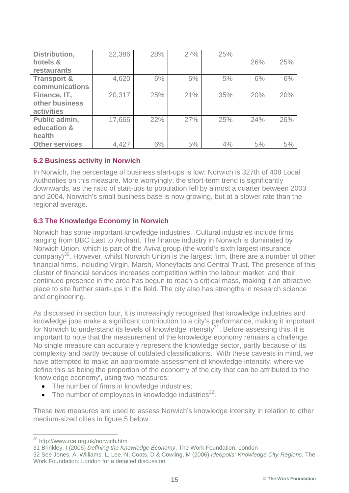| Distribution,          | 22,386 | 28% | 27% | 25% |     |     |
|------------------------|--------|-----|-----|-----|-----|-----|
| hotels &               |        |     |     |     | 26% | 25% |
| restaurants            |        |     |     |     |     |     |
| <b>Transport &amp;</b> | 4,620  | 6%  | 5%  | 5%  | 6%  | 6%  |
| communications         |        |     |     |     |     |     |
| Finance, IT,           | 20,317 | 25% | 21% | 35% | 20% | 20% |
| other business         |        |     |     |     |     |     |
| <b>activities</b>      |        |     |     |     |     |     |
| Public admin,          | 17,666 | 22% | 27% | 25% | 24% | 26% |
| education &            |        |     |     |     |     |     |
| health                 |        |     |     |     |     |     |
| <b>Other services</b>  | 4,427  | 6%  | 5%  | 4%  | 5%  | 5%  |

#### **6.2 Business activity in Norwich**

In Norwich, the percentage of business start-ups is low: Norwich is 327th of 408 Local Authorities on this measure. More worryingly, the short-term trend is significantly downwards, as the ratio of start-ups to population fell by almost a quarter between 2003 and 2004. Norwich's small business base is now growing, but at a slower rate than the regional average.

#### **6.3 The Knowledge Economy in Norwich**

Norwich has some important knowledge industries. Cultural industries include firms ranging from BBC East to Archant. The finance industry in Norwich is dominated by Norwich Union, which is part of the Aviva group (the world's sixth largest insurance company)<sup>30</sup>. However, whilst Norwich Union is the largest firm, there are a number of other financial firms, including Virgin, Marsh, Moneyfacts and Central Trust. The presence of this cluster of financial services increases competition within the labour market, and their continued presence in the area has begun to reach a critical mass, making it an attractive place to site further start-ups in the field. The city also has strengths in research science and engineering.

As discussed in section four, it is increasingly recognised that knowledge industries and knowledge jobs make a significant contribution to a city's performance, making it important for Norwich to understand its levels of knowledge intensity<sup>31</sup>. Before assessing this, it is important to note that the measurement of the knowledge economy remains a challenge. No single measure can accurately represent the knowledge sector, partly because of its complexity and partly because of outdated classifications. With these caveats in mind, we have attempted to make an approximate assessment of knowledge intensity, where we define this as being the proportion of the economy of the city that can be attributed to the 'knowledge economy', using two measures:

- The number of firms in knowledge industries;
- The number of employees in knowledge industries $^{32}$ .

These two measures are used to assess Norwich's knowledge intensity in relation to other medium-sized cities in figure 5 below.

 <sup>30</sup> http://www.rce.org.uk/norwich.htm

<sup>31</sup> Brinkley, I (2006) *Defining the Knowledge Economy*, The Work Foundation: London

<sup>32</sup> See Jones, A, Williams, L, Lee, N, Coats, D & Cowling, M (2006) *Ideopolis: Knowledge City-Regions*, The Work Foundation: London for a detailed discussion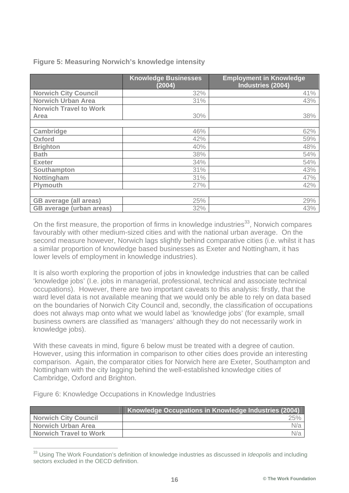|                                 | <b>Knowledge Businesses</b><br>(2004) | <b>Employment in Knowledge</b><br>Industries (2004) |
|---------------------------------|---------------------------------------|-----------------------------------------------------|
| <b>Norwich City Council</b>     | 32%                                   | 41%                                                 |
| <b>Norwich Urban Area</b>       | 31%                                   | 43%                                                 |
| <b>Norwich Travel to Work</b>   |                                       |                                                     |
| Area                            | 30%                                   | 38%                                                 |
|                                 |                                       |                                                     |
| <b>Cambridge</b>                | 46%                                   | 62%                                                 |
| <b>Oxford</b>                   | 42%                                   | 59%                                                 |
| <b>Brighton</b>                 | 40%                                   | 48%                                                 |
| <b>Bath</b>                     | 38%                                   | 54%                                                 |
| <b>Exeter</b>                   | 34%                                   | 54%                                                 |
| Southampton                     | 31%                                   | 43%                                                 |
| Nottingham                      | 31%                                   | 47%                                                 |
| Plymouth                        | 27%                                   | 42%                                                 |
|                                 |                                       |                                                     |
| <b>GB</b> average (all areas)   | 25%                                   | 29%                                                 |
| <b>GB</b> average (urban areas) | 32%                                   | 43%                                                 |

**Figure 5: Measuring Norwich's knowledge intensity**

On the first measure, the proportion of firms in knowledge industries<sup>33</sup>, Norwich compares favourably with other medium-sized cities and with the national urban average. On the second measure however, Norwich lags slightly behind comparative cities (i.e. whilst it has a similar proportion of knowledge based businesses as Exeter and Nottingham, it has lower levels of employment in knowledge industries).

It is also worth exploring the proportion of jobs in knowledge industries that can be called 'knowledge jobs' (I.e. jobs in managerial, professional, technical and associate technical occupations). However, there are two important caveats to this analysis: firstly, that the ward level data is not available meaning that we would only be able to rely on data based on the boundaries of Norwich City Council and, secondly, the classification of occupations does not always map onto what we would label as 'knowledge jobs' (for example, small business owners are classified as 'managers' although they do not necessarily work in knowledge jobs).

With these caveats in mind, figure 6 below must be treated with a degree of caution. However, using this information in comparison to other cities does provide an interesting comparison. Again, the comparator cities for Norwich here are Exeter, Southampton and Nottingham with the city lagging behind the well-established knowledge cities of Cambridge, Oxford and Brighton.

|  | Figure 6: Knowledge Occupations in Knowledge Industries |  |  |
|--|---------------------------------------------------------|--|--|
|  |                                                         |  |  |
|  |                                                         |  |  |

|                               | Knowledge Occupations in Knowledge Industries (2004) |     |
|-------------------------------|------------------------------------------------------|-----|
| <b>Norwich City Council</b>   |                                                      | 25% |
| <b>Norwich Urban Area</b>     |                                                      | N/a |
| <b>Norwich Travel to Work</b> |                                                      | N/a |

 <sup>33</sup> Using The Work Foundation's definition of knowledge industries as discussed in *Ideopolis* and including sectors excluded in the OECD definition.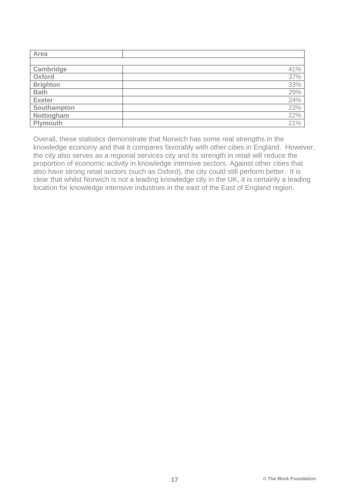| Area            |     |
|-----------------|-----|
|                 |     |
| Cambridge       | 41% |
| Oxford          | 37% |
| <b>Brighton</b> | 33% |
| <b>Bath</b>     | 29% |
| <b>Exeter</b>   | 24% |
| Southampton     | 23% |
| Nottingham      | 22% |
| Plymouth        | 21% |

Overall, these statistics demonstrate that Norwich has some real strengths in the knowledge economy and that it compares favorably with other cities in England. However, the city also serves as a regional services city and its strength in retail will reduce the proportion of economic activity in knowledge intensive sectors. Against other cities that also have strong retail sectors (such as Oxford), the city could still perform better. It is clear that whilst Norwich is not a leading knowledge city in the UK, it is certainly a leading location for knowledge intensive industries in the east of the East of England region.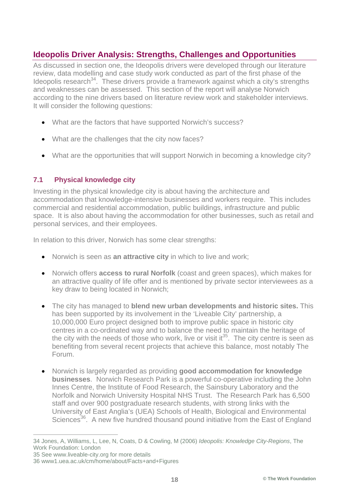## **Ideopolis Driver Analysis: Strengths, Challenges and Opportunities**

As discussed in section one, the Ideopolis drivers were developed through our literature review, data modelling and case study work conducted as part of the first phase of the Ideopolis research<sup>34</sup>. These drivers provide a framework against which a city's strengths and weaknesses can be assessed. This section of the report will analyse Norwich according to the nine drivers based on literature review work and stakeholder interviews. It will consider the following questions:

- What are the factors that have supported Norwich's success?
- What are the challenges that the city now faces?
- What are the opportunities that will support Norwich in becoming a knowledge city?

#### **7.1 Physical knowledge city**

Investing in the physical knowledge city is about having the architecture and accommodation that knowledge-intensive businesses and workers require. This includes commercial and residential accommodation, public buildings, infrastructure and public space. It is also about having the accommodation for other businesses, such as retail and personal services, and their employees.

In relation to this driver, Norwich has some clear strengths:

- Norwich is seen as **an attractive city** in which to live and work;
- Norwich offers **access to rural Norfolk** (coast and green spaces), which makes for an attractive quality of life offer and is mentioned by private sector interviewees as a key draw to being located in Norwich;
- The city has managed to **blend new urban developments and historic sites.** This has been supported by its involvement in the 'Liveable City' partnership, a 10,000,000 Euro project designed both to improve public space in historic city centres in a co-ordinated way and to balance the need to maintain the heritage of the city with the needs of those who work, live or visit it<sup>35</sup>. The city centre is seen as benefiting from several recent projects that achieve this balance, most notably The Forum.
- Norwich is largely regarded as providing **good accommodation for knowledge businesses**. Norwich Research Park is a powerful co-operative including the John Innes Centre, the Institute of Food Research, the Sainsbury Laboratory and the Norfolk and Norwich University Hospital NHS Trust. The Research Park has 6,500 staff and over 900 postgraduate research students, with strong links with the University of East Anglia's (UEA) Schools of Health, Biological and Environmental Sciences<sup>36</sup>. A new five hundred thousand pound initiative from the East of England

 <sup>34</sup> Jones, A, Williams, L, Lee, N, Coats, D & Cowling, M (2006) *Ideopolis: Knowledge City-Regions*, The Work Foundation: London

<sup>35</sup> See www.liveable-city.org for more details

<sup>36</sup> www1.uea.ac.uk/cm/home/about/Facts+and+Figures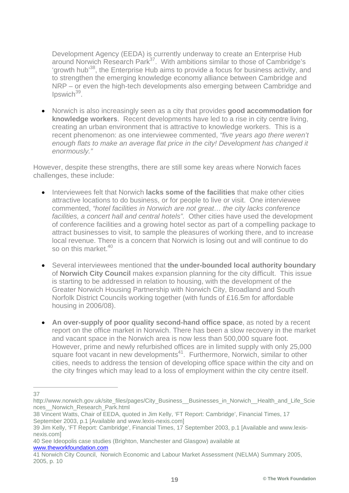Development Agency (EEDA) is currently underway to create an Enterprise Hub around Norwich Research Park<sup>37</sup>. With ambitions similar to those of Cambridge's 'growth hub<sup>38</sup>, the Enterprise Hub aims to provide a focus for business activity, and to strengthen the emerging knowledge economy alliance between Cambridge and NRP – or even the high-tech developments also emerging between Cambridge and  $Ipswich<sup>39</sup>$ .

• Norwich is also increasingly seen as a city that provides **good accommodation for knowledge workers**. Recent developments have led to a rise in city centre living, creating an urban environment that is attractive to knowledge workers. This is a recent phenomenon: as one interviewee commented, *"five years ago there weren't enough flats to make an average flat price in the city! Development has changed it enormously."*

However, despite these strengths, there are still some key areas where Norwich faces challenges, these include:

- Interviewees felt that Norwich **lacks some of the facilities** that make other cities attractive locations to do business, or for people to live or visit. One interviewee commented, *"hotel facilities in Norwich are not great… the city lacks conference facilities, a concert hall and central hotels".* Other cities have used the development of conference facilities and a growing hotel sector as part of a compelling package to attract businesses to visit, to sample the pleasures of working there, and to increase local revenue. There is a concern that Norwich is losing out and will continue to do so on this market.<sup>40</sup>
- Several interviewees mentioned that **the under-bounded local authority boundary** of **Norwich City Council** makes expansion planning for the city difficult. This issue is starting to be addressed in relation to housing, with the development of the Greater Norwich Housing Partnership with Norwich City, Broadland and South Norfolk District Councils working together (with funds of £16.5m for affordable housing in 2006/08).
- **An over-supply of poor quality second-hand office space**, as noted by a recent report on the office market in Norwich. There has been a slow recovery in the market and vacant space in the Norwich area is now less than 500,000 square foot. However, prime and newly refurbished offices are in limited supply with only 25,000 square foot vacant in new developments<sup>41</sup>. Furthermore, Norwich, similar to other cities, needs to address the tension of developing office space within the city and on the city fringes which may lead to a loss of employment within the city centre itself.

40 See Ideopolis case studies (Brighton, Manchester and Glasgow) available at www.theworkfoundation.com

 <sup>37</sup> 

http://www.norwich.gov.uk/site\_files/pages/City\_Business\_\_Businesses\_in\_Norwich\_\_Health\_and\_Life\_Scie nces\_\_Norwich\_Research\_Park.html

<sup>38</sup> Vincent Watts, Chair of EEDA, quoted in Jim Kelly, 'FT Report: Cambridge', Financial Times, 17 September 2003, p.1 [Available and www.lexis-nexis.com]

<sup>39</sup> Jim Kelly, 'FT Report: Cambridge', Financial Times, 17 September 2003, p.1 [Available and www.lexisnexis.com]

<sup>41</sup> Norwich City Council, Norwich Economic and Labour Market Assessment (NELMA) Summary 2005, 2005, p. 10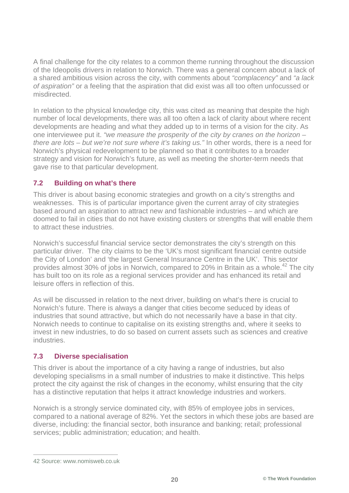A final challenge for the city relates to a common theme running throughout the discussion of the Ideopolis drivers in relation to Norwich. There was a general concern about a lack of a shared ambitious vision across the city, with comments about *"complacency"* and *"a lack of aspiration"* or a feeling that the aspiration that did exist was all too often unfocussed or misdirected.

In relation to the physical knowledge city, this was cited as meaning that despite the high number of local developments, there was all too often a lack of clarity about where recent developments are heading and what they added up to in terms of a vision for the city. As one interviewee put it. *"we measure the prosperity of the city by cranes on the horizon – there are lots – but we're not sure where it's taking us."* In other words, there is a need for Norwich's physical redevelopment to be planned so that it contributes to a broader strategy and vision for Norwich's future, as well as meeting the shorter-term needs that gave rise to that particular development.

#### **7.2 Building on what's there**

This driver is about basing economic strategies and growth on a city's strengths and weaknesses. This is of particular importance given the current array of city strategies based around an aspiration to attract new and fashionable industries – and which are doomed to fail in cities that do not have existing clusters or strengths that will enable them to attract these industries.

Norwich's successful financial service sector demonstrates the city's strength on this particular driver. The city claims to be the 'UK's most significant financial centre outside the City of London' and 'the largest General Insurance Centre in the UK'. This sector provides almost 30% of jobs in Norwich, compared to 20% in Britain as a whole.<sup>42</sup> The city has built too on its role as a regional services provider and has enhanced its retail and leisure offers in reflection of this.

As will be discussed in relation to the next driver, building on what's there is crucial to Norwich's future. There is always a danger that cities become seduced by ideas of industries that sound attractive, but which do not necessarily have a base in that city. Norwich needs to continue to capitalise on its existing strengths and, where it seeks to invest in new industries, to do so based on current assets such as sciences and creative industries.

#### **7.3 Diverse specialisation**

This driver is about the importance of a city having a range of industries, but also developing specialisms in a small number of industries to make it distinctive. This helps protect the city against the risk of changes in the economy, whilst ensuring that the city has a distinctive reputation that helps it attract knowledge industries and workers.

Norwich is a strongly service dominated city, with 85% of employee jobs in services, compared to a national average of 82%. Yet the sectors in which these jobs are based are diverse, including: the financial sector, both insurance and banking; retail; professional services; public administration; education; and health.

 <sup>42</sup> Source: www.nomisweb.co.uk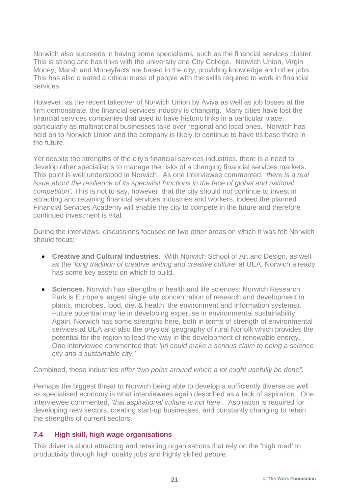Norwich also succeeds in having some specialisms, such as the financial services cluster. This is strong and has links with the university and City College. Norwich Union, Virgin Money, Marsh and Moneyfacts are based in the city, providing knowledge and other jobs. This has also created a critical mass of people with the skills required to work in financial services.

However, as the recent takeover of Norwich Union by Aviva as well as job losses at the firm demonstrate, the financial services industry is changing. Many cities have lost the financial services companies that used to have historic links in a particular place, particularly as multinational businesses take over regional and local ones. Norwich has held on to Norwich Union and the company is likely to continue to have its base there in the future.

Yet despite the strengths of the city's financial services industries, there is a need to develop other specialisms to manage the risks of a changing financial services markets. This point is well understood in Norwich. As one interviewee commented, *'there is a real issue about the resilience of its specialist functions in the face of global and national competition'.* This is not to say, however, that the city should not continue to invest in attracting and retaining financial services industries and workers, indeed the planned Financial Services Academy will enable the city to compete in the future and therefore continued investment is vital.

During the interviews, discussions focused on two other areas on which it was felt Norwich should focus:

- **Creative and Cultural Industries**. With Norwich School of Art and Design, as well as the *'long tradition of creative writing and creative culture*' at UEA, Norwich already has some key assets on which to build.
- **Sciences.** Norwich has strengths in health and life sciences: Norwich Research Park is Europe's largest single site concentration of research and development in plants, microbes, food, diet & health, the environment and Information systems). Future potential may lie in developing expertise in environmental sustainability. Again, Norwich has some strengths here, both in terms of strength of environmental services at UEA and also the physical geography of rural Norfolk which provides the potential for the region to lead the way in the development of renewable energy. One interviewee commented that: *'[it] could make a serious claim to being a science city and a sustainable city.'*

Combined, these industries *offer 'two poles around which a lot might usefully be done".* 

Perhaps the biggest threat to Norwich being able to develop a sufficiently diverse as well as specialised economy is what interviewees again described as a lack of aspiration. One interviewee commented, *'that aspirational culture is not here'.* Aspiration is required for developing new sectors, creating start-up businesses, and constantly changing to retain the strengths of current sectors.

#### **7.4 High skill, high wage organisations**

This driver is about attracting and retaining organisations that rely on the 'high road' to productivity through high quality jobs and highly skilled people.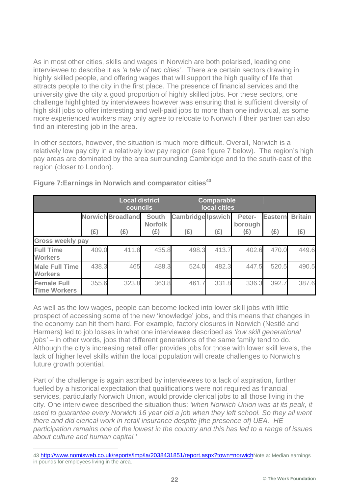As in most other cities, skills and wages in Norwich are both polarised, leading one interviewee to describe it as *'a tale of two cities'*. There are certain sectors drawing in highly skilled people, and offering wages that will support the high quality of life that attracts people to the city in the first place. The presence of financial services and the university give the city a good proportion of highly skilled jobs. For these sectors, one challenge highlighted by interviewees however was ensuring that is sufficient diversity of high skill jobs to offer interesting and well-paid jobs to more than one individual, as some more experienced workers may only agree to relocate to Norwich if their partner can also find an interesting job in the area.

In other sectors, however, the situation is much more difficult. Overall, Norwich is a relatively low pay city in a relatively low pay region (see figure 7 below). The region's high pay areas are dominated by the area surrounding Cambridge and to the south-east of the region (closer to London).

|                                           |                         | <b>Local district</b><br>councils |                                |                          | <b>Comparable</b><br>local cities |                   |                |                |
|-------------------------------------------|-------------------------|-----------------------------------|--------------------------------|--------------------------|-----------------------------------|-------------------|----------------|----------------|
|                                           |                         | <b>Norwich Broadland</b>          | <b>South</b><br><b>Norfolk</b> | <b>Cambridge Ipswich</b> |                                   | Peter-<br>borough | <b>Eastern</b> | <b>Britain</b> |
|                                           | (E)                     | (£)                               | (E)                            | (E)                      | (E)                               | (E)               | (E)            | (E)            |
|                                           | <b>Gross weekly pay</b> |                                   |                                |                          |                                   |                   |                |                |
| <b>Full Time</b><br><b>Workers</b>        | 409.0                   | 411.8                             | 435.8                          | 498.3                    | 413.7                             | 402.6             | 470.0          | 449.6          |
| <b>Male Full Time</b><br><b>Workers</b>   | 438.3                   | 465                               | 488.3                          | 524.0                    | 482.3                             | 447.5             | 520.5          | 490.5          |
| <b>Female Full</b><br><b>Time Workers</b> | 355.6                   | 323.8                             | 363.8                          | 461                      | 331.8                             | 336.3             | 392.7          | 387.6          |

#### **Figure 7:Earnings in Norwich and comparator cities<sup>43</sup>**

As well as the low wages, people can become locked into lower skill jobs with little prospect of accessing some of the new 'knowledge' jobs, and this means that changes in the economy can hit them hard. For example, factory closures in Norwich (Nestlé and Harmers) led to job losses in what one interviewee described as *'low skill generational jobs'* – in other words, jobs that different generations of the same family tend to do. Although the city's increasing retail offer provides jobs for those with lower skill levels, the lack of higher level skills within the local population will create challenges to Norwich's future growth potential.

Part of the challenge is again ascribed by interviewees to a lack of aspiration, further fuelled by a historical expectation that qualifications were not required as financial services, particularly Norwich Union, would provide clerical jobs to all those living in the city. One interviewee described the situation thus: *'when Norwich Union was at its peak, it used to guarantee every Norwich 16 year old a job when they left school. So they all went there and did clerical work in retail insurance despite [the presence of] UEA. HE participation remains one of the lowest in the country and this has led to a range of issues about culture and human capital.'* 

 <sup>43</sup> http://www.nomisweb.co.uk/reports/lmp/la/2038431851/report.aspx?town=norwichNote a: Median earnings in pounds for employees living in the area.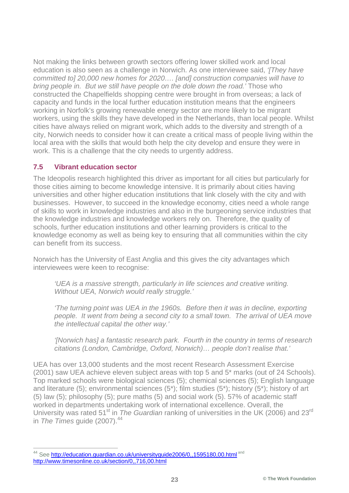Not making the links between growth sectors offering lower skilled work and local education is also seen as a challenge in Norwich. As one interviewee said, *'[They have committed to] 20,000 new homes for 2020…. [and] construction companies will have to bring people in. But we still have people on the dole down the road.'* Those who constructed the Chapelfields shopping centre were brought in from overseas; a lack of capacity and funds in the local further education institution means that the engineers working in Norfolk's growing renewable energy sector are more likely to be migrant workers, using the skills they have developed in the Netherlands, than local people. Whilst cities have always relied on migrant work, which adds to the diversity and strength of a city, Norwich needs to consider how it can create a critical mass of people living within the local area with the skills that would both help the city develop and ensure they were in work. This is a challenge that the city needs to urgently address.

#### **7.5 Vibrant education sector**

The Ideopolis research highlighted this driver as important for all cities but particularly for those cities aiming to become knowledge intensive. It is primarily about cities having universities and other higher education institutions that link closely with the city and with businesses. However, to succeed in the knowledge economy, cities need a whole range of skills to work in knowledge industries and also in the burgeoning service industries that the knowledge industries and knowledge workers rely on. Therefore, the quality of schools, further education institutions and other learning providers is critical to the knowledge economy as well as being key to ensuring that all communities within the city can benefit from its success.

Norwich has the University of East Anglia and this gives the city advantages which interviewees were keen to recognise:

*'UEA is a massive strength, particularly in life sciences and creative writing. Without UEA, Norwich would really struggle.'*

*'The turning point was UEA in the 1960s. Before then it was in decline, exporting people. It went from being a second city to a small town. The arrival of UEA move the intellectual capital the other way.'*

*'[Norwich has] a fantastic research park. Fourth in the country in terms of research citations (London, Cambridge, Oxford, Norwich)… people don't realise that.'*

UEA has over 13,000 students and the most recent Research Assessment Exercise (2001) saw UEA achieve eleven subject areas with top 5 and 5\* marks (out of 24 Schools). Top marked schools were biological sciences (5); chemical sciences (5); English language and literature (5); environmental sciences (5\*); film studies (5\*); history (5\*); history of art (5) law (5); philosophy (5); pure maths (5) and social work (5). 57% of academic staff worked in departments undertaking work of international excellence. Overall, the University was rated 51<sup>st</sup> in *The Guardian* ranking of universities in the UK (2006) and 23<sup>rd</sup> in *The Times* guide (2007).<sup>44</sup>

<sup>44</sup> See http://education.guardian.co.uk/universityguide2006/0,,1595180,00.html and http://www.timesonline.co.uk/section/0,,716,00.html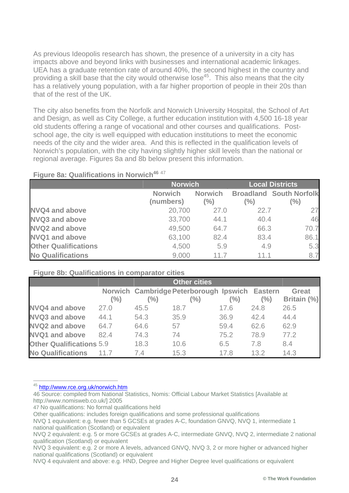As previous Ideopolis research has shown, the presence of a university in a city has impacts above and beyond links with businesses and international academic linkages. UEA has a graduate retention rate of around 40%, the second highest in the country and providing a skill base that the city would otherwise lose<sup>45</sup>. This also means that the city has a relatively young population, with a far higher proportion of people in their 20s than that of the rest of the UK.

The city also benefits from the Norfolk and Norwich University Hospital, the School of Art and Design, as well as City College, a further education institution with 4,500 16-18 year old students offering a range of vocational and other courses and qualifications. Postschool age, the city is well equipped with education institutions to meet the economic needs of the city and the wider area. And this is reflected in the qualification levels of Norwich's population, with the city having slightly higher skill levels than the national or regional average. Figures 8a and 8b below present this information.

|                             | <b>Norwich</b>              |                       | <b>Local Districts</b> |                                          |  |
|-----------------------------|-----------------------------|-----------------------|------------------------|------------------------------------------|--|
|                             | <b>Norwich</b><br>(numbers) | <b>Norwich</b><br>(%) | (%)                    | <b>Broadland South Norfolk</b><br>$(\%)$ |  |
| <b>NVQ4 and above</b>       | 20,700                      | 27.0                  | 22.7                   | 27                                       |  |
| <b>NVQ3 and above</b>       | 33,700                      | 44.1                  | 40.4                   | 46                                       |  |
| <b>NVQ2 and above</b>       | 49,500                      | 64.7                  | 66.3                   | 70.7                                     |  |
| <b>NVQ1 and above</b>       | 63,100                      | 82.4                  | 83.4                   | 86.1                                     |  |
| <b>Other Qualifications</b> | 4,500                       | 5.9                   | 4.9                    | 5.3                                      |  |
| <b>No Qualifications</b>    | 9,000                       | 11.7                  | 11.1                   | 8.7                                      |  |

#### **Figure 8a: Qualifications in Norwich<sup>46 47</sup>**

#### **Figure 8b: Qualifications in comparator cities**

|                                 |        |        | <b>Other cities</b>                            |      |      |              |
|---------------------------------|--------|--------|------------------------------------------------|------|------|--------------|
|                                 |        |        | Norwich Cambridge Peterborough Ipswich Eastern |      |      | <b>Great</b> |
|                                 | $(\%)$ | $(\%)$ | (%)                                            | (%)  | (%)  | Britain (%)  |
| <b>NVQ4 and above</b>           | 27.0   | 45.5   | 18.7                                           | 17.6 | 24.8 | 26.5         |
| <b>NVQ3 and above</b>           | 44.1   | 54.3   | 35.9                                           | 36.9 | 42.4 | 44.4         |
| <b>NVQ2 and above</b>           | 64.7   | 64.6   | 57                                             | 59.4 | 62.6 | 62.9         |
| <b>NVQ1 and above</b>           | 82.4   | 74.3   | 74                                             | 75.2 | 78.9 | 77.2         |
| <b>Other Qualifications 5.9</b> |        | 18.3   | 10.6                                           | 6.5  | 7.8  | 8.4          |
| <b>No Qualifications</b>        | 11.7   | 74     | 15.3                                           | 17.8 | 13.2 | 14.3         |

45 http://www.rce.org.uk/norwich.htm

46 Source: compiled from National Statistics, Nomis: Official Labour Market Statistics [Available at http://www.nomisweb.co.uk/] 2005

47 No qualifications: No formal qualifications held

Other qualifications: includes foreign qualifications and some professional qualifications

NVQ 1 equivalent: e.g. fewer than 5 GCSEs at grades A-C, foundation GNVQ, NVQ 1, intermediate 1 national qualification (Scotland) or equivalent

NVQ 2 equivalent: e.g. 5 or more GCSEs at grades A-C, intermediate GNVQ, NVQ 2, intermediate 2 national qualification (Scotland) or equivalent

NVQ 3 equivalent: e.g. 2 or more A levels, advanced GNVQ, NVQ 3, 2 or more higher or advanced higher national qualifications (Scotland) or equivalent

NVQ 4 equivalent and above: e.g. HND, Degree and Higher Degree level qualifications or equivalent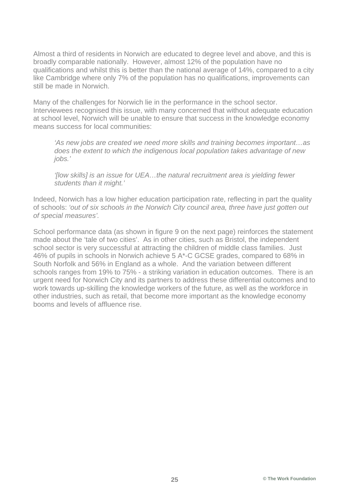Almost a third of residents in Norwich are educated to degree level and above, and this is broadly comparable nationally. However, almost 12% of the population have no qualifications and whilst this is better than the national average of 14%, compared to a city like Cambridge where only 7% of the population has no qualifications, improvements can still be made in Norwich.

Many of the challenges for Norwich lie in the performance in the school sector. Interviewees recognised this issue, with many concerned that without adequate education at school level, Norwich will be unable to ensure that success in the knowledge economy means success for local communities:

*'As new jobs are created we need more skills and training becomes important…as does the extent to which the indigenous local population takes advantage of new jobs.'*

*'[low skills] is an issue for UEA…the natural recruitment area is yielding fewer students than it might.'*

Indeed, Norwich has a low higher education participation rate, reflecting in part the quality of schools: *'out of six schools in the Norwich City council area, three have just gotten out of special measures'.*

School performance data (as shown in figure 9 on the next page) reinforces the statement made about the 'tale of two cities'. As in other cities, such as Bristol, the independent school sector is very successful at attracting the children of middle class families. Just 46% of pupils in schools in Norwich achieve 5 A\*-C GCSE grades, compared to 68% in South Norfolk and 56% in England as a whole. And the variation between different schools ranges from 19% to 75% - a striking variation in education outcomes. There is an urgent need for Norwich City and its partners to address these differential outcomes and to work towards up-skilling the knowledge workers of the future, as well as the workforce in other industries, such as retail, that become more important as the knowledge economy booms and levels of affluence rise.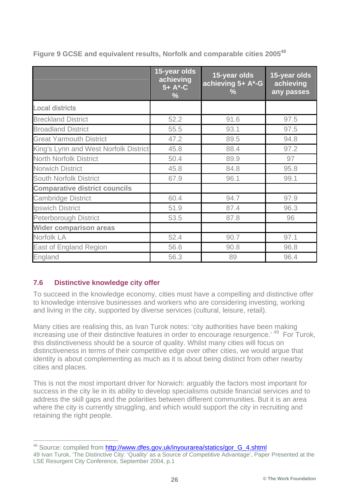|                                       | 15-year olds<br>achieving<br>$5 + A^* - C$<br>$\frac{9}{6}$ | 15-year olds<br>achieving 5+ A*-G<br>$\frac{1}{2}$ | 15-year olds<br>achieving<br>any passes |
|---------------------------------------|-------------------------------------------------------------|----------------------------------------------------|-----------------------------------------|
| <b>Local districts</b>                |                                                             |                                                    |                                         |
| <b>Breckland District</b>             | 52.2                                                        | 91.6                                               | 97.5                                    |
| <b>Broadland District</b>             | 55.5                                                        | 93.1                                               | 97.5                                    |
| <b>Great Yarmouth District</b>        | 47.2                                                        | 89.5                                               | 94.8                                    |
| King's Lynn and West Norfolk District | 45.8                                                        | 88.4                                               | 97.2                                    |
| <b>North Norfolk District</b>         | 50.4                                                        | 89.9                                               | 97                                      |
| <b>Norwich District</b>               | 45.8                                                        | 84.8                                               | 95.8                                    |
| <b>South Norfolk District</b>         | 67.9                                                        | 96.1                                               | 99.1                                    |
| <b>Comparative district councils</b>  |                                                             |                                                    |                                         |
| <b>Cambridge District</b>             | 60.4                                                        | 94.7                                               | 97.9                                    |
| <b>Ipswich District</b>               | 51.9                                                        | 87.4                                               | 96.3                                    |
| <b>Peterborough District</b>          | 53.5                                                        | 87.8                                               | 96                                      |
| <b>Wider comparison areas</b>         |                                                             |                                                    |                                         |
| Norfolk LA                            | 52.4                                                        | 90.7                                               | 97.1                                    |
| <b>East of England Region</b>         | 56.6                                                        | 90.8                                               | 96.8                                    |
| England                               | 56.3                                                        | 89                                                 | 96.4                                    |

**Figure 9 GCSE and equivalent results, Norfolk and comparable cities 200548**

#### **7.6 Distinctive knowledge city offer**

To succeed in the knowledge economy, cities must have a compelling and distinctive offer to knowledge intensive businesses and workers who are considering investing, working and living in the city, supported by diverse services (cultural, leisure, retail).

Many cities are realising this, as Ivan Turok notes: 'city authorities have been making increasing use of their distinctive features in order to encourage resurgence.<sup>'49</sup> For Turok, this distinctiveness should be a source of quality. Whilst many cities will focus on distinctiveness in terms of their competitive edge over other cities, we would argue that identity is about complementing as much as it is about being distinct from other nearby cities and places.

This is not the most important driver for Norwich: arguably the factors most important for success in the city lie in its ability to develop specialisms outside financial services and to address the skill gaps and the polarities between different communities. But it is an area where the city is currently struggling, and which would support the city in recruiting and retaining the right people.

<sup>&</sup>lt;sup>48</sup> Source: compiled from http://www.dfes.gov.uk/inyourarea/statics/gor\_G\_4.shtml

<sup>49</sup> Ivan Turok, 'The Distinctive City: 'Quality' as a Source of Competitive Advantage', Paper Presented at the LSE Resurgent City Conference, September 2004, p.1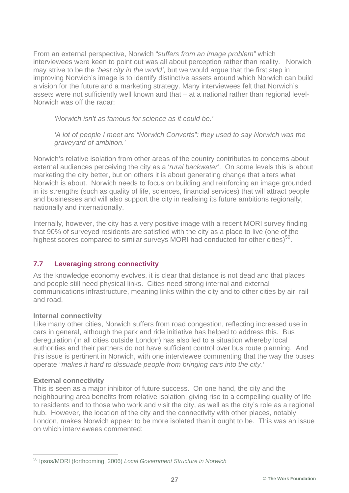From an external perspective, Norwich "s*uffers from an image problem"* which interviewees were keen to point out was all about perception rather than reality. Norwich may strive to be the *'best city in the world'*, but we would argue that the first step in improving Norwich's image is to identify distinctive assets around which Norwich can build a vision for the future and a marketing strategy. Many interviewees felt that Norwich's assets were not sufficiently well known and that – at a national rather than regional level-Norwich was off the radar:

*'Norwich isn't as famous for science as it could be.'*

*'A lot of people I meet are "Norwich Converts": they used to say Norwich was the graveyard of ambition.'*

Norwich's relative isolation from other areas of the country contributes to concerns about external audiences perceiving the city as a '*rural backwater'*. On some levels this is about marketing the city better, but on others it is about generating change that alters what Norwich is about. Norwich needs to focus on building and reinforcing an image grounded in its strengths (such as quality of life, sciences, financial services) that will attract people and businesses and will also support the city in realising its future ambitions regionally, nationally and internationally.

Internally, however, the city has a very positive image with a recent MORI survey finding that 90% of surveyed residents are satisfied with the city as a place to live (one of the highest scores compared to similar surveys MORI had conducted for other cities)<sup>50</sup>.

#### **7.7 Leveraging strong connectivity**

As the knowledge economy evolves, it is clear that distance is not dead and that places and people still need physical links. Cities need strong internal and external communications infrastructure, meaning links within the city and to other cities by air, rail and road.

#### **Internal connectivity**

Like many other cities, Norwich suffers from road congestion, reflecting increased use in cars in general, although the park and ride initiative has helped to address this. Bus deregulation (in all cities outside London) has also led to a situation whereby local authorities and their partners do not have sufficient control over bus route planning. And this issue is pertinent in Norwich, with one interviewee commenting that the way the buses operate *"makes it hard to dissuade people from bringing cars into the city.'*

#### **External connectivity**

This is seen as a major inhibitor of future success. On one hand, the city and the neighbouring area benefits from relative isolation, giving rise to a compelling quality of life to residents and to those who work and visit the city, as well as the city's role as a regional hub. However, the location of the city and the connectivity with other places, notably London, makes Norwich appear to be more isolated than it ought to be. This was an issue on which interviewees commented:

 <sup>50</sup> Ipsos/MORI (forthcoming, 2006) *Local Government Structure in Norwich*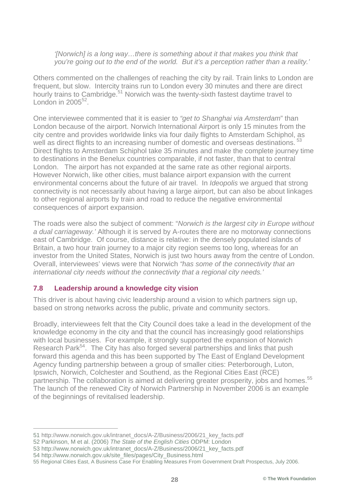*'[Norwich] is a long way…there is something about it that makes you think that you're going out to the end of the world. But it's a perception rather than a reality.'*

Others commented on the challenges of reaching the city by rail. Train links to London are frequent, but slow. Intercity trains run to London every 30 minutes and there are direct hourly trains to Cambridge.<sup>51</sup> Norwich was the twenty-sixth fastest daytime travel to London in  $2005^{52}$ 

One interviewee commented that it is easier to *"get to Shanghai via Amsterdam*" than London because of the airport. Norwich International Airport is only 15 minutes from the city centre and provides worldwide links via four daily flights to Amsterdam Schiphol, as well as direct flights to an increasing number of domestic and overseas destinations.<sup>53</sup> Direct flights to Amsterdam Schiphol take 35 minutes and make the complete journey time to destinations in the Benelux countries comparable, if not faster, than that to central London. The airport has not expanded at the same rate as other regional airports. However Norwich, like other cities, must balance airport expansion with the current environmental concerns about the future of air travel. In *Ideopolis* we argued that strong connectivity is not necessarily about having a large airport, but can also be about linkages to other regional airports by train and road to reduce the negative environmental consequences of airport expansion.

The roads were also the subject of comment: "*Norwich is the largest city in Europe without a dual carriageway.'* Although it is served by A-routes there are no motorway connections east of Cambridge. Of course, distance is relative: in the densely populated islands of Britain, a two hour train journey to a major city region seems too long, whereas for an investor from the United States, Norwich is just two hours away from the centre of London. Overall, interviewees' views were that Norwich *"has some of the connectivity that an international city needs without the connectivity that a regional city needs.'*

#### **7.8 Leadership around a knowledge city vision**

This driver is about having civic leadership around a vision to which partners sign up, based on strong networks across the public, private and community sectors.

Broadly, interviewees felt that the City Council does take a lead in the development of the knowledge economy in the city and that the council has increasingly good relationships with local businesses. For example, it strongly supported the expansion of Norwich Research Park<sup>54</sup>. The City has also forged several partnerships and links that push forward this agenda and this has been supported by The East of England Development Agency funding partnership between a group of smaller cities: Peterborough, Luton, Ipswich, Norwich, Colchester and Southend, as the Regional Cities East (RCE) partnership. The collaboration is aimed at delivering greater prosperity, jobs and homes.<sup>55</sup> The launch of the renewed City of Norwich Partnership in November 2006 is an example of the beginnings of revitalised leadership.

 <sup>51</sup> http://www.norwich.gov.uk/intranet\_docs/A-Z/Business/2006/21\_key\_facts.pdf

<sup>52</sup> Parkinson, M et al. (2006) *The State of the English Cities* ODPM: London

<sup>53</sup> http://www.norwich.gov.uk/intranet\_docs/A-Z/Business/2006/21\_key\_facts.pdf

<sup>54</sup> http://www.norwich.gov.uk/site\_files/pages/City\_Business.html

<sup>55</sup> Regional Cities East, A Business Case For Enabling Measures From Government Draft Prospectus, July 2006.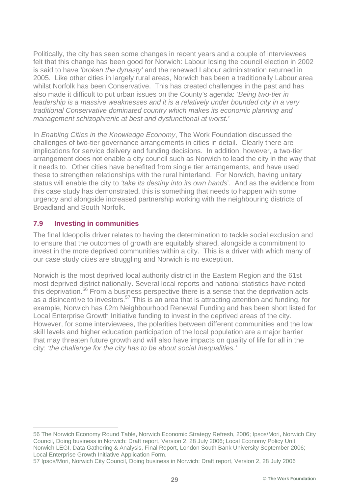Politically, the city has seen some changes in recent years and a couple of interviewees felt that this change has been good for Norwich: Labour losing the council election in 2002 is said to have *'broken the dynasty'* and the renewed Labour administration returned in 2005*.* Like other cities in largely rural areas, Norwich has been a traditionally Labour area whilst Norfolk has been Conservative. This has created challenges in the past and has also made it difficult to put urban issues on the County's agenda: *'Being two-tier in leadership is a massive weaknesses and it is a relatively under bounded city in a very traditional Conservative dominated country which makes its economic planning and management schizophrenic at best and dysfunctional at worst.'*

In *Enabling Cities in the Knowledge Economy*, The Work Foundation discussed the challenges of two-tier governance arrangements in cities in detail. Clearly there are implications for service delivery and funding decisions. In addition, however, a two-tier arrangement does not enable a city council such as Norwich to lead the city in the way that it needs to. Other cities have benefited from single tier arrangements, and have used these to strengthen relationships with the rural hinterland. For Norwich, having unitary status will enable the city to *'take its destiny into its own hands*'. And as the evidence from this case study has demonstrated, this is something that needs to happen with some urgency and alongside increased partnership working with the neighbouring districts of Broadland and South Norfolk.

#### **7.9 Investing in communities**

The final Ideopolis driver relates to having the determination to tackle social exclusion and to ensure that the outcomes of growth are equitably shared, alongside a commitment to invest in the more deprived communities within a city. This is a driver with which many of our case study cities are struggling and Norwich is no exception.

Norwich is the most deprived local authority district in the Eastern Region and the 61st most deprived district nationally. Several local reports and national statistics have noted this deprivation.<sup>56</sup> From a business perspective there is a sense that the deprivation acts as a disincentive to investors.57 This is an area that is attracting attention and funding, for example, Norwich has £2m Neighbourhood Renewal Funding and has been short listed for Local Enterprise Growth Initiative funding to invest in the deprived areas of the city. However, for some interviewees, the polarities between different communities and the low skill levels and higher education participation of the local population are a major barrier that may threaten future growth and will also have impacts on quality of life for all in the city: *'the challenge for the city has to be about social inequalities.'*

 <sup>56</sup> The Norwich Economy Round Table, Norwich Economic Strategy Refresh, 2006; Ipsos/Mori, Norwich City Council, Doing business in Norwich: Draft report, Version 2, 28 July 2006; Local Economy Policy Unit, Norwich LEGI, Data Gathering & Analysis, Final Report, London South Bank University September 2006; Local Enterprise Growth Initiative Application Form.

<sup>57</sup> Ipsos/Mori, Norwich City Council, Doing business in Norwich: Draft report, Version 2, 28 July 2006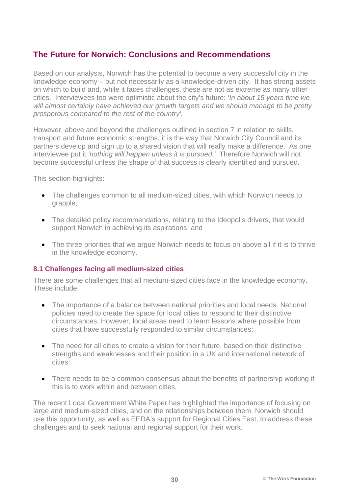## **The Future for Norwich: Conclusions and Recommendations**

Based on our analysis, Norwich has the potential to become a very successful city in the knowledge economy – but not necessarily as a knowledge-driven city. It has strong assets on which to build and, while it faces challenges, these are not as extreme as many other cities. Interviewees too were optimistic about the city's future: '*In about 15 years time we will almost certainly have achieved our growth targets and we should manage to be pretty prosperous compared to the rest of the country'.*

However, above and beyond the challenges outlined in section 7 in relation to skills, transport and future economic strengths, it is the way that Norwich City Council and its partners develop and sign up to a shared vision that will really make a difference. As one interviewee put it *'nothing will happen unless it is pursued.'* Therefore Norwich will not become successful unless the shape of that success is clearly identified and pursued.

This section highlights:

- The challenges common to all medium-sized cities, with which Norwich needs to grapple;
- The detailed policy recommendations, relating to the Ideopolis drivers, that would support Norwich in achieving its aspirations; and
- The three priorities that we argue Norwich needs to focus on above all if it is to thrive in the knowledge economy.

#### **8.1 Challenges facing all medium-sized cities**

There are some challenges that all medium-sized cities face in the knowledge economy. These include:

- The importance of a balance between national priorities and local needs. National policies need to create the space for local cities to respond to their distinctive circumstances. However, local areas need to learn lessons where possible from cities that have successfully responded to similar circumstances;
- The need for all cities to create a vision for their future, based on their distinctive strengths and weaknesses and their position in a UK and international network of cities;
- There needs to be a common consensus about the benefits of partnership working if this is to work within and between cities.

The recent Local Government White Paper has highlighted the importance of focusing on large and medium-sized cities, and on the relationships between them. Norwich should use this opportunity, as well as EEDA's support for Regional Cities East, to address these challenges and to seek national and regional support for their work.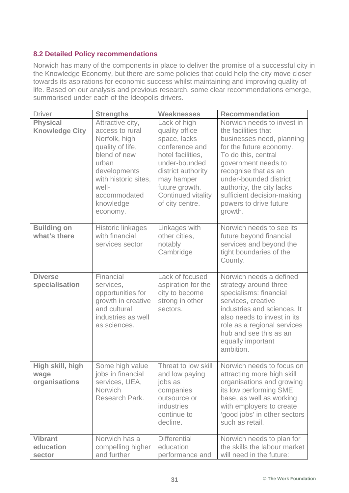#### **8.2 Detailed Policy recommendations**

Norwich has many of the components in place to deliver the promise of a successful city in the Knowledge Economy, but there are some policies that could help the city move closer towards its aspirations for economic success whilst maintaining and improving quality of life. Based on our analysis and previous research, some clear recommendations emerge, summarised under each of the Ideopolis drivers.

| <b>Driver</b>                             | <b>Strengths</b>                                                                                                                                                                            | <b>Weaknesses</b>                                                                                                                                                                                     | <b>Recommendation</b>                                                                                                                                                                                                                                                                                     |
|-------------------------------------------|---------------------------------------------------------------------------------------------------------------------------------------------------------------------------------------------|-------------------------------------------------------------------------------------------------------------------------------------------------------------------------------------------------------|-----------------------------------------------------------------------------------------------------------------------------------------------------------------------------------------------------------------------------------------------------------------------------------------------------------|
| <b>Physical</b><br><b>Knowledge City</b>  | Attractive city,<br>access to rural<br>Norfolk, high<br>quality of life,<br>blend of new<br>urban<br>developments<br>with historic sites,<br>well-<br>accommodated<br>knowledge<br>economy. | Lack of high<br>quality office<br>space, lacks<br>conference and<br>hotel facilities,<br>under-bounded<br>district authority<br>may hamper<br>future growth.<br>Continued vitality<br>of city centre. | Norwich needs to invest in<br>the facilities that<br>businesses need, planning<br>for the future economy.<br>To do this, central<br>government needs to<br>recognise that as an<br>under-bounded district<br>authority, the city lacks<br>sufficient decision-making<br>powers to drive future<br>growth. |
| <b>Building on</b><br>what's there        | <b>Historic linkages</b><br>with financial<br>services sector                                                                                                                               | Linkages with<br>other cities,<br>notably<br>Cambridge                                                                                                                                                | Norwich needs to see its<br>future beyond financial<br>services and beyond the<br>tight boundaries of the<br>County.                                                                                                                                                                                      |
| <b>Diverse</b><br>specialisation          | Financial<br>services,<br>opportunities for<br>growth in creative<br>and cultural<br>industries as well<br>as sciences.                                                                     | Lack of focused<br>aspiration for the<br>city to become<br>strong in other<br>sectors.                                                                                                                | Norwich needs a defined<br>strategy around three<br>specialisms: financial<br>services, creative<br>industries and sciences. It<br>also needs to invest in its<br>role as a regional services<br>hub and see this as an<br>equally important<br>ambition.                                                 |
| High skill, high<br>wage<br>organisations | Some high value<br>jobs in financial<br>services, UEA,<br><b>Norwich</b><br>Research Park.                                                                                                  | Threat to low skill<br>and low paying<br>jobs as<br>companies<br>outsource or<br>industries<br>continue to<br>decline.                                                                                | Norwich needs to focus on<br>attracting more high skill<br>organisations and growing<br>its low performing SME<br>base, as well as working<br>with employers to create<br>'good jobs' in other sectors<br>such as retail.                                                                                 |
| <b>Vibrant</b><br>education<br>sector     | Norwich has a<br>compelling higher<br>and further                                                                                                                                           | <b>Differential</b><br>education<br>performance and                                                                                                                                                   | Norwich needs to plan for<br>the skills the labour market<br>will need in the future:                                                                                                                                                                                                                     |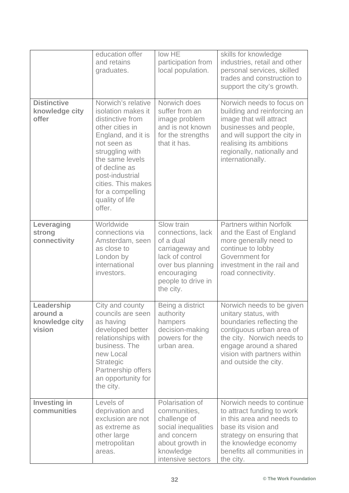|                                                    | education offer<br>and retains<br>graduates.                                                                                                                                                                                                                          | low HE<br>participation from<br>local population.                                                                                                         | skills for knowledge<br>industries, retail and other<br>personal services, skilled<br>trades and construction to<br>support the city's growth.                                                                             |
|----------------------------------------------------|-----------------------------------------------------------------------------------------------------------------------------------------------------------------------------------------------------------------------------------------------------------------------|-----------------------------------------------------------------------------------------------------------------------------------------------------------|----------------------------------------------------------------------------------------------------------------------------------------------------------------------------------------------------------------------------|
| <b>Distinctive</b><br>knowledge city<br>offer      | Norwich's relative<br>isolation makes it<br>distinctive from<br>other cities in<br>England, and it is<br>not seen as<br>struggling with<br>the same levels<br>of decline as<br>post-industrial<br>cities. This makes<br>for a compelling<br>quality of life<br>offer. | Norwich does<br>suffer from an<br>image problem<br>and is not known<br>for the strengths<br>that it has.                                                  | Norwich needs to focus on<br>building and reinforcing an<br>image that will attract<br>businesses and people,<br>and will support the city in<br>realising its ambitions<br>regionally, nationally and<br>internationally. |
| Leveraging<br>strong<br>connectivity               | Worldwide<br>connections via<br>Amsterdam, seen<br>as close to<br>London by<br>international<br>investors.                                                                                                                                                            | Slow train<br>connections, lack<br>of a dual<br>carriageway and<br>lack of control<br>over bus planning<br>encouraging<br>people to drive in<br>the city. | <b>Partners within Norfolk</b><br>and the East of England<br>more generally need to<br>continue to lobby<br>Government for<br>investment in the rail and<br>road connectivity.                                             |
| Leadership<br>around a<br>knowledge city<br>vision | City and county<br>councils are seen<br>as having<br>developed better<br>relationships with<br>business. The<br>new Local<br>Strategic<br>Partnership offers<br>an opportunity for<br>the city.                                                                       | Being a district<br>authority<br>hampers<br>decision-making<br>powers for the<br>urban area.                                                              | Norwich needs to be given<br>unitary status, with<br>boundaries reflecting the<br>contiguous urban area of<br>the city. Norwich needs to<br>engage around a shared<br>vision with partners within<br>and outside the city. |
| <b>Investing in</b><br>communities                 | Levels of<br>deprivation and<br>exclusion are not<br>as extreme as<br>other large<br>metropolitan<br>areas.                                                                                                                                                           | Polarisation of<br>communities,<br>challenge of<br>social inequalities<br>and concern<br>about growth in<br>knowledge<br>intensive sectors                | Norwich needs to continue<br>to attract funding to work<br>in this area and needs to<br>base its vision and<br>strategy on ensuring that<br>the knowledge economy<br>benefits all communities in<br>the city.              |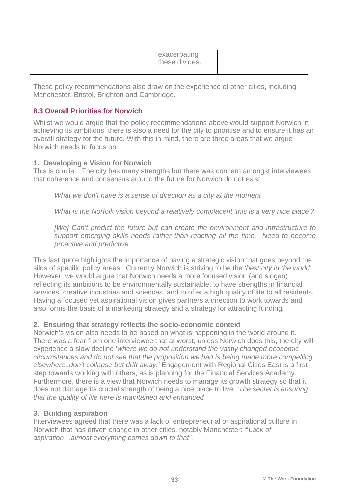|  | exacerbating<br>these divides. |  |
|--|--------------------------------|--|
|--|--------------------------------|--|

These policy recommendations also draw on the experience of other cities, including Manchester, Bristol, Brighton and Cambridge.

#### **8.3 Overall Priorities for Norwich**

Whilst we would argue that the policy recommendations above would support Norwich in achieving its ambitions, there is also a need for the city to prioritise and to ensure it has an overall strategy for the future. With this in mind, there are three areas that we argue Norwich needs to focus on:

#### **1. Developing a Vision for Norwich**

This is crucial. The city has many strengths but there was concern amongst interviewees that coherence and consensus around the future for Norwich do not exist:

*What we don't have is a sense of direction as a city at the moment* 

*What is the Norfolk vision beyond a relatively complacent 'this is a very nice place'?* 

*[We] Can't predict the future but can create the environment and infrastructure to support emerging skills needs rather than reacting all the time. Need to become proactive and predictive* 

This last quote highlights the importance of having a strategic vision that goes beyond the silos of specific policy areas. Currently Norwich is striving to be the *'best city in the world'.*  However, we would argue that Norwich needs a more focused vision (and slogan) reflecting its ambitions to be environmentally sustainable, to have strengths in financial services, creative industries and sciences, and to offer a high quality of life to all residents. Having a focused yet aspirational vision gives partners a direction to work towards and also forms the basis of a marketing strategy and a strategy for attracting funding.

#### **2. Ensuring that strategy reflects the socio-economic context**

Norwich's vision also needs to be based on what is happening in the world around it. There was a fear from one interviewee that at worst, unless Norwich does this, the city will experience a slow decline '*where we do not understand the vastly changed economic circumstances and do not see that the proposition we had is being made more compelling elsewhere..don't collapse but drift away.'* Engagement with Regional Cities East is a first step towards working with others, as is planning for the Financial Services Academy. Furthermore, there is a view that Norwich needs to manage its growth strategy so that it does not damage its crucial strength of being a nice place to live: *'The secret is ensuring that the quality of life here is maintained and enhanced'*

#### **3. Building aspiration**

Interviewees agreed that there was a lack of entrepreneurial or aspirational culture in Norwich that has driven change in other cities, notably Manchester: "'*Lack of aspiration…almost everything comes down to that".*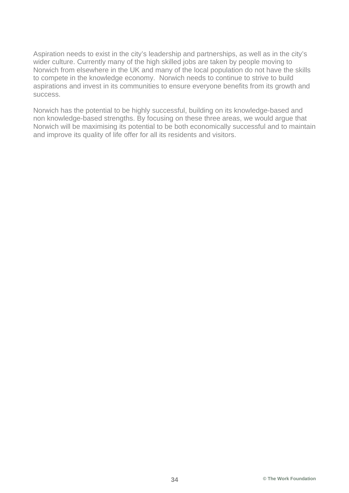Aspiration needs to exist in the city's leadership and partnerships, as well as in the city's wider culture. Currently many of the high skilled jobs are taken by people moving to Norwich from elsewhere in the UK and many of the local population do not have the skills to compete in the knowledge economy. Norwich needs to continue to strive to build aspirations and invest in its communities to ensure everyone benefits from its growth and success.

Norwich has the potential to be highly successful, building on its knowledge-based and non knowledge-based strengths. By focusing on these three areas, we would argue that Norwich will be maximising its potential to be both economically successful and to maintain and improve its quality of life offer for all its residents and visitors.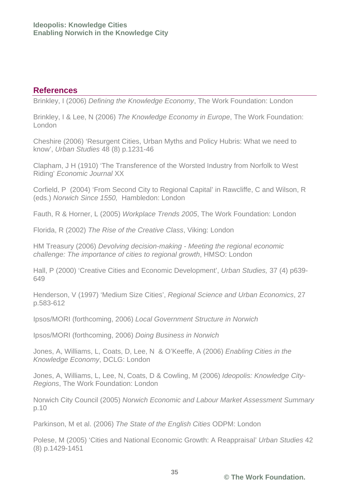## **References**

Brinkley, I (2006) *Defining the Knowledge Economy*, The Work Foundation: London

Brinkley, I & Lee, N (2006) *The Knowledge Economy in Europe*, The Work Foundation: London

Cheshire (2006) 'Resurgent Cities, Urban Myths and Policy Hubris: What we need to know', *Urban Studies* 48 (8) p.1231-46

Clapham, J H (1910) 'The Transference of the Worsted Industry from Norfolk to West Riding' *Economic Journal* XX

Corfield, P (2004) 'From Second City to Regional Capital' in Rawcliffe, C and Wilson, R (eds.) *Norwich Since 1550,* Hambledon: London

Fauth, R & Horner, L (2005) *Workplace Trends 2005*, The Work Foundation: London

Florida, R (2002) *The Rise of the Creative Class*, Viking: London

HM Treasury (2006) *Devolving decision-making - Meeting the regional economic challenge: The importance of cities to regional growth*, HMSO: London

Hall, P (2000) 'Creative Cities and Economic Development', *Urban Studies,* 37 (4) p639- 649

Henderson, V (1997) 'Medium Size Cities', *Regional Science and Urban Economics*, 27 p.583-612

Ipsos/MORI (forthcoming, 2006) *Local Government Structure in Norwich* 

Ipsos/MORI (forthcoming, 2006) *Doing Business in Norwich* 

Jones, A, Williams, L, Coats, D, Lee, N & O'Keeffe, A (2006) *Enabling Cities in the Knowledge Economy*, DCLG: London

Jones, A, Williams, L, Lee, N, Coats, D & Cowling, M (2006) *Ideopolis: Knowledge City-Regions*, The Work Foundation: London

Norwich City Council (2005) *Norwich Economic and Labour Market Assessment Summary* p.10

Parkinson, M et al. (2006) *The State of the English Cities* ODPM: London

Polese, M (2005) 'Cities and National Economic Growth: A Reappraisal' *Urban Studies* 42 (8) p.1429-1451